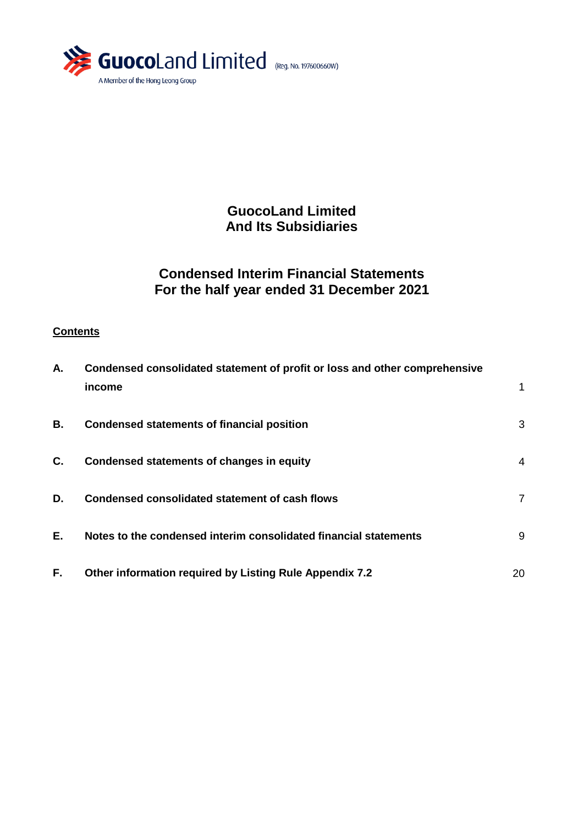

**GuocoLand Limited And Its Subsidiaries**

# **Condensed Interim Financial Statements For the half year ended 31 December 2021**

# **Contents**

| А.        | Condensed consolidated statement of profit or loss and other comprehensive<br>income | 1  |
|-----------|--------------------------------------------------------------------------------------|----|
| <b>B.</b> | <b>Condensed statements of financial position</b>                                    | 3  |
| C.        | <b>Condensed statements of changes in equity</b>                                     | 4  |
| D.        | Condensed consolidated statement of cash flows                                       | 7  |
| E.        | Notes to the condensed interim consolidated financial statements                     | 9  |
| F.        | <b>Other information required by Listing Rule Appendix 7.2</b>                       | 20 |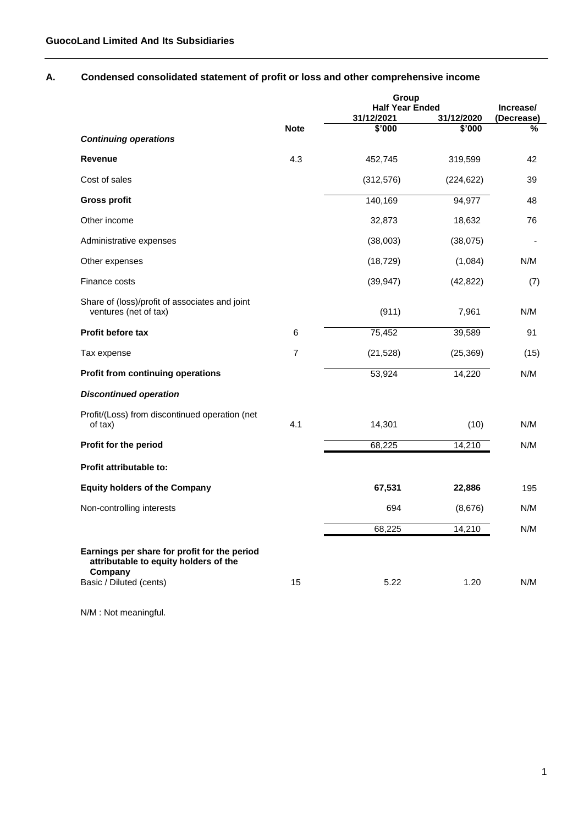# **A. Condensed consolidated statement of profit or loss and other comprehensive income**

|                                                                                                  |                |            | Group                                |                 |  |
|--------------------------------------------------------------------------------------------------|----------------|------------|--------------------------------------|-----------------|--|
|                                                                                                  |                | 31/12/2021 | <b>Half Year Ended</b><br>31/12/2020 |                 |  |
|                                                                                                  | <b>Note</b>    | \$'000     | \$'000                               | (Decrease)<br>% |  |
| <b>Continuing operations</b>                                                                     |                |            |                                      |                 |  |
| <b>Revenue</b>                                                                                   | 4.3            | 452,745    | 319,599                              | 42              |  |
| Cost of sales                                                                                    |                | (312, 576) | (224, 622)                           | 39              |  |
| Gross profit                                                                                     |                | 140,169    | 94,977                               | 48              |  |
| Other income                                                                                     |                | 32,873     | 18,632                               | 76              |  |
| Administrative expenses                                                                          |                | (38,003)   | (38,075)                             |                 |  |
| Other expenses                                                                                   |                | (18, 729)  | (1,084)                              | N/M             |  |
| Finance costs                                                                                    |                | (39, 947)  | (42, 822)                            | (7)             |  |
| Share of (loss)/profit of associates and joint<br>ventures (net of tax)                          |                | (911)      | 7,961                                | N/M             |  |
| Profit before tax                                                                                | 6              | 75,452     | 39,589                               | 91              |  |
| Tax expense                                                                                      | $\overline{7}$ | (21, 528)  | (25, 369)                            | (15)            |  |
| Profit from continuing operations                                                                |                | 53,924     | 14,220                               | N/M             |  |
| <b>Discontinued operation</b>                                                                    |                |            |                                      |                 |  |
| Profit/(Loss) from discontinued operation (net<br>of tax)                                        | 4.1            | 14,301     | (10)                                 | N/M             |  |
| Profit for the period                                                                            |                | 68,225     | 14,210                               | N/M             |  |
| Profit attributable to:                                                                          |                |            |                                      |                 |  |
| <b>Equity holders of the Company</b>                                                             |                | 67,531     | 22,886                               | 195             |  |
| Non-controlling interests                                                                        |                | 694        | (8,676)                              | N/M             |  |
|                                                                                                  |                | 68,225     | 14,210                               | N/M             |  |
| Earnings per share for profit for the period<br>attributable to equity holders of the<br>Company |                |            |                                      |                 |  |
| Basic / Diluted (cents)                                                                          | 15             | 5.22       | 1.20                                 | N/M             |  |

N/M : Not meaningful.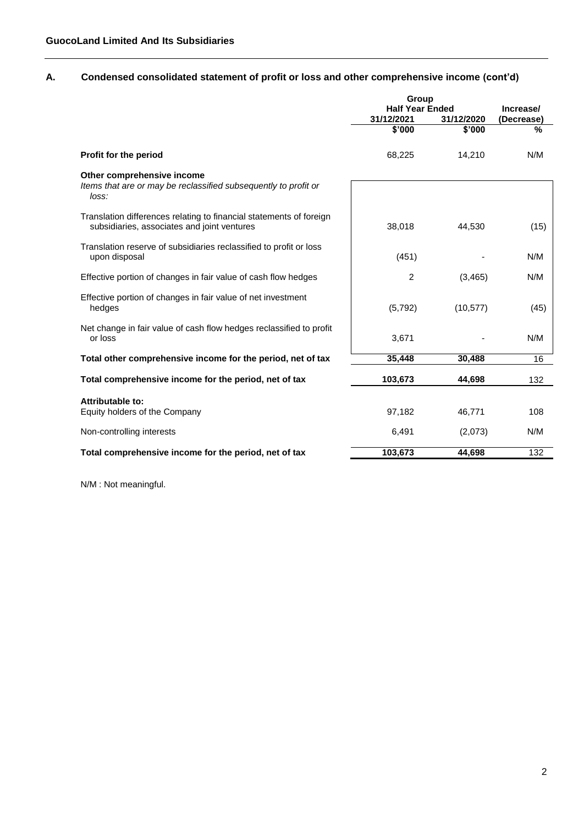# **A. Condensed consolidated statement of profit or loss and other comprehensive income (cont'd)**

|                                                                                                                    | Group                  |                      |                 |
|--------------------------------------------------------------------------------------------------------------------|------------------------|----------------------|-----------------|
|                                                                                                                    | <b>Half Year Ended</b> |                      | Increase/       |
|                                                                                                                    | 31/12/2021<br>\$'000   | 31/12/2020<br>\$'000 | (Decrease)<br>% |
|                                                                                                                    |                        |                      |                 |
| Profit for the period                                                                                              | 68,225                 | 14,210               | N/M             |
| Other comprehensive income                                                                                         |                        |                      |                 |
| Items that are or may be reclassified subsequently to profit or<br>loss:                                           |                        |                      |                 |
| Translation differences relating to financial statements of foreign<br>subsidiaries, associates and joint ventures | 38,018                 | 44.530               | (15)            |
|                                                                                                                    |                        |                      |                 |
| Translation reserve of subsidiaries reclassified to profit or loss                                                 |                        |                      | N/M             |
| upon disposal                                                                                                      | (451)                  |                      |                 |
| Effective portion of changes in fair value of cash flow hedges                                                     | 2                      | (3,465)              | N/M             |
| Effective portion of changes in fair value of net investment                                                       |                        |                      |                 |
| hedges                                                                                                             | (5,792)                | (10, 577)            | (45)            |
| Net change in fair value of cash flow hedges reclassified to profit                                                |                        |                      |                 |
| or loss                                                                                                            | 3,671                  |                      | N/M             |
| Total other comprehensive income for the period, net of tax                                                        | 35,448                 | 30,488               | 16              |
| Total comprehensive income for the period, net of tax                                                              | 103,673                | 44,698               | 132             |
|                                                                                                                    |                        |                      |                 |
| Attributable to:<br>Equity holders of the Company                                                                  | 97,182                 | 46,771               | 108             |
|                                                                                                                    |                        |                      |                 |
| Non-controlling interests                                                                                          | 6,491                  | (2,073)              | N/M             |
| Total comprehensive income for the period, net of tax                                                              | 103,673                | 44,698               | 132             |
|                                                                                                                    |                        |                      |                 |

N/M : Not meaningful.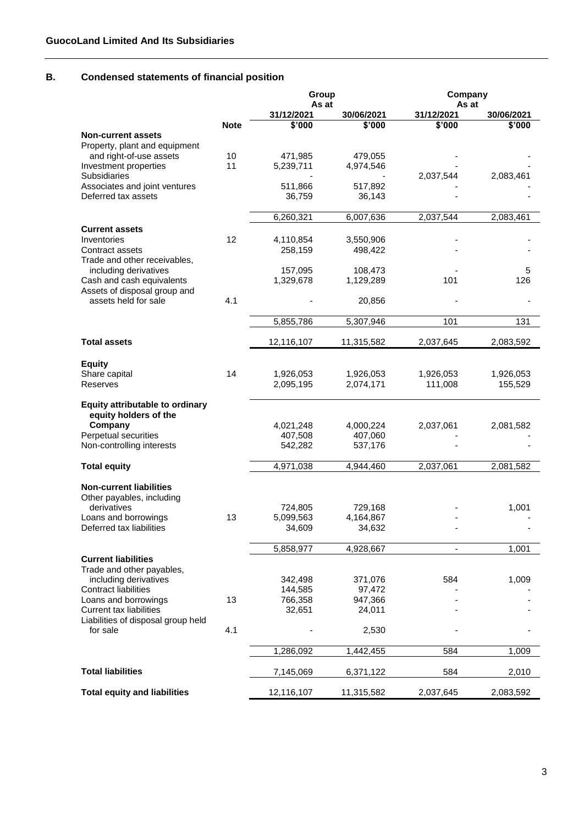# **B. Condensed statements of financial position**

|                                                           |             | Group                |                      | Company              |                                 |
|-----------------------------------------------------------|-------------|----------------------|----------------------|----------------------|---------------------------------|
|                                                           |             | As at                |                      | As at                |                                 |
|                                                           | <b>Note</b> | 31/12/2021<br>\$'000 | 30/06/2021<br>\$'000 | 31/12/2021<br>\$'000 | 30/06/2021<br>$\frac{1}{2,000}$ |
| <b>Non-current assets</b>                                 |             |                      |                      |                      |                                 |
| Property, plant and equipment                             |             |                      |                      |                      |                                 |
| and right-of-use assets                                   | 10          | 471,985              | 479,055              |                      |                                 |
| Investment properties                                     | 11          | 5,239,711            | 4,974,546            |                      |                                 |
| Subsidiaries                                              |             |                      |                      | 2,037,544            | 2,083,461                       |
| Associates and joint ventures<br>Deferred tax assets      |             | 511,866              | 517,892              |                      |                                 |
|                                                           |             | 36,759               | 36,143               |                      |                                 |
|                                                           |             | 6,260,321            | 6,007,636            | 2,037,544            | 2,083,461                       |
| <b>Current assets</b>                                     |             |                      |                      |                      |                                 |
| Inventories                                               | 12          | 4,110,854            | 3,550,906            |                      |                                 |
| Contract assets                                           |             | 258,159              | 498,422              |                      |                                 |
| Trade and other receivables,                              |             |                      |                      |                      |                                 |
| including derivatives                                     |             | 157,095              | 108,473              |                      | 5                               |
| Cash and cash equivalents<br>Assets of disposal group and |             | 1,329,678            | 1,129,289            | 101                  | 126                             |
| assets held for sale                                      | 4.1         |                      | 20,856               |                      |                                 |
|                                                           |             |                      |                      |                      |                                 |
|                                                           |             | 5,855,786            | 5,307,946            | 101                  | 131                             |
|                                                           |             |                      |                      |                      |                                 |
| <b>Total assets</b>                                       |             | 12,116,107           | 11,315,582           | 2,037,645            | 2,083,592                       |
|                                                           |             |                      |                      |                      |                                 |
| <b>Equity</b><br>Share capital                            | 14          | 1,926,053            | 1,926,053            | 1,926,053            | 1,926,053                       |
| Reserves                                                  |             | 2,095,195            | 2,074,171            | 111,008              | 155,529                         |
|                                                           |             |                      |                      |                      |                                 |
| <b>Equity attributable to ordinary</b>                    |             |                      |                      |                      |                                 |
| equity holders of the                                     |             |                      |                      |                      |                                 |
| Company                                                   |             | 4,021,248            | 4,000,224            | 2,037,061            | 2,081,582                       |
| Perpetual securities<br>Non-controlling interests         |             | 407,508<br>542,282   | 407,060<br>537,176   |                      |                                 |
|                                                           |             |                      |                      |                      |                                 |
| <b>Total equity</b>                                       |             | 4,971,038            | 4,944,460            | 2,037,061            | 2,081,582                       |
|                                                           |             |                      |                      |                      |                                 |
| <b>Non-current liabilities</b>                            |             |                      |                      |                      |                                 |
| Other payables, including                                 |             |                      |                      |                      |                                 |
| derivatives                                               | 13          | 724,805<br>5,099,563 | 729,168              |                      | 1,001                           |
| Loans and borrowings<br>Deferred tax liabilities          |             | 34,609               | 4,164,867<br>34,632  |                      |                                 |
|                                                           |             |                      |                      |                      |                                 |
|                                                           |             | 5,858,977            | 4,928,667            |                      | 1,001                           |
| <b>Current liabilities</b>                                |             |                      |                      |                      |                                 |
| Trade and other payables,                                 |             |                      |                      |                      |                                 |
| including derivatives                                     |             | 342,498              | 371,076              | 584                  | 1,009                           |
| <b>Contract liabilities</b><br>Loans and borrowings       | 13          | 144,585<br>766,358   | 97,472<br>947,366    |                      |                                 |
| <b>Current tax liabilities</b>                            |             | 32,651               | 24,011               |                      |                                 |
| Liabilities of disposal group held                        |             |                      |                      |                      |                                 |
| for sale                                                  | 4.1         |                      | 2,530                |                      |                                 |
|                                                           |             |                      |                      |                      |                                 |
|                                                           |             | 1,286,092            | 1,442,455            | 584                  | 1,009                           |
| <b>Total liabilities</b>                                  |             |                      |                      |                      |                                 |
|                                                           |             | 7,145,069            | 6,371,122            | 584                  | 2,010                           |
| <b>Total equity and liabilities</b>                       |             | 12,116,107           | 11,315,582           | 2,037,645            | 2,083,592                       |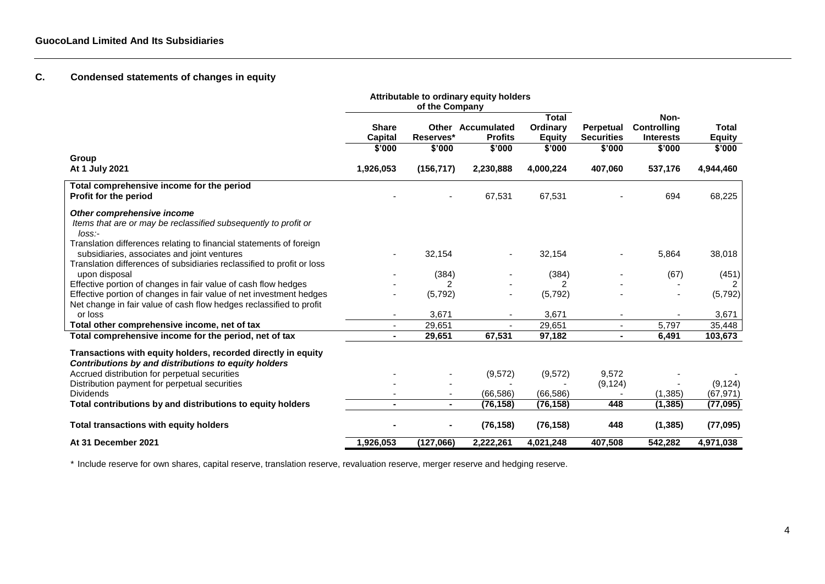# **C. Condensed statements of changes in equity**

|                                                                                                                                                                                              | Attributable to ordinary equity holders<br>of the Company |                |                                            |                                           |                                       |                                         |                               |
|----------------------------------------------------------------------------------------------------------------------------------------------------------------------------------------------|-----------------------------------------------------------|----------------|--------------------------------------------|-------------------------------------------|---------------------------------------|-----------------------------------------|-------------------------------|
|                                                                                                                                                                                              | <b>Share</b><br><b>Capital</b>                            | Reserves*      | <b>Other Accumulated</b><br><b>Profits</b> | <b>Total</b><br>Ordinary<br><b>Equity</b> | <b>Perpetual</b><br><b>Securities</b> | Non-<br>Controlling<br><b>Interests</b> | <b>Total</b><br><b>Equity</b> |
| Group                                                                                                                                                                                        | \$'000                                                    | \$'000         | \$'000                                     | \$'000                                    | \$'000                                | \$'000                                  | \$'000                        |
| At 1 July 2021                                                                                                                                                                               | 1,926,053                                                 | (156, 717)     | 2,230,888                                  | 4,000,224                                 | 407,060                               | 537,176                                 | 4,944,460                     |
| Total comprehensive income for the period<br>Profit for the period                                                                                                                           |                                                           |                | 67,531                                     | 67,531                                    |                                       | 694                                     | 68,225                        |
| Other comprehensive income<br>Items that are or may be reclassified subsequently to profit or<br>loss:                                                                                       |                                                           |                |                                            |                                           |                                       |                                         |                               |
| Translation differences relating to financial statements of foreign<br>subsidiaries, associates and joint ventures<br>Translation differences of subsidiaries reclassified to profit or loss |                                                           | 32,154         |                                            | 32,154                                    |                                       | 5,864                                   | 38,018                        |
| upon disposal                                                                                                                                                                                |                                                           | (384)          |                                            | (384)                                     |                                       | (67)                                    | (451)                         |
| Effective portion of changes in fair value of cash flow hedges                                                                                                                               |                                                           | 2              |                                            | 2                                         |                                       |                                         | 2                             |
| Effective portion of changes in fair value of net investment hedges<br>Net change in fair value of cash flow hedges reclassified to profit                                                   |                                                           | (5, 792)       |                                            | (5,792)                                   |                                       |                                         | (5, 792)                      |
| or loss                                                                                                                                                                                      | $\blacksquare$                                            | 3,671          |                                            | 3,671                                     | $\blacksquare$                        |                                         | 3,671                         |
| Total other comprehensive income, net of tax                                                                                                                                                 | $\blacksquare$                                            | 29,651         | $\sim$                                     | 29,651                                    | $\mathbf{r}$                          | 5,797                                   | 35,448                        |
| Total comprehensive income for the period, net of tax                                                                                                                                        | $\blacksquare$                                            | 29,651         | 67,531                                     | 97,182                                    | $\blacksquare$                        | 6,491                                   | 103,673                       |
| Transactions with equity holders, recorded directly in equity<br>Contributions by and distributions to equity holders                                                                        |                                                           |                |                                            |                                           |                                       |                                         |                               |
| Accrued distribution for perpetual securities                                                                                                                                                |                                                           |                | (9, 572)                                   | (9, 572)                                  | 9,572                                 |                                         |                               |
| Distribution payment for perpetual securities                                                                                                                                                |                                                           |                |                                            |                                           | (9, 124)                              |                                         | (9, 124)                      |
| <b>Dividends</b>                                                                                                                                                                             |                                                           | $\blacksquare$ | (66, 586)                                  | (66, 586)                                 |                                       | (1, 385)                                | (67, 971)                     |
| Total contributions by and distributions to equity holders                                                                                                                                   |                                                           | $\blacksquare$ | (76, 158)                                  | (76, 158)                                 | 448                                   | (1, 385)                                | (77, 095)                     |
| <b>Total transactions with equity holders</b>                                                                                                                                                |                                                           | $\blacksquare$ | (76, 158)                                  | (76, 158)                                 | 448                                   | (1, 385)                                | (77, 095)                     |
| At 31 December 2021                                                                                                                                                                          | 1,926,053                                                 | (127,066)      | 2,222,261                                  | 4,021,248                                 | 407,508                               | 542,282                                 | 4,971,038                     |

\* Include reserve for own shares, capital reserve, translation reserve, revaluation reserve, merger reserve and hedging reserve.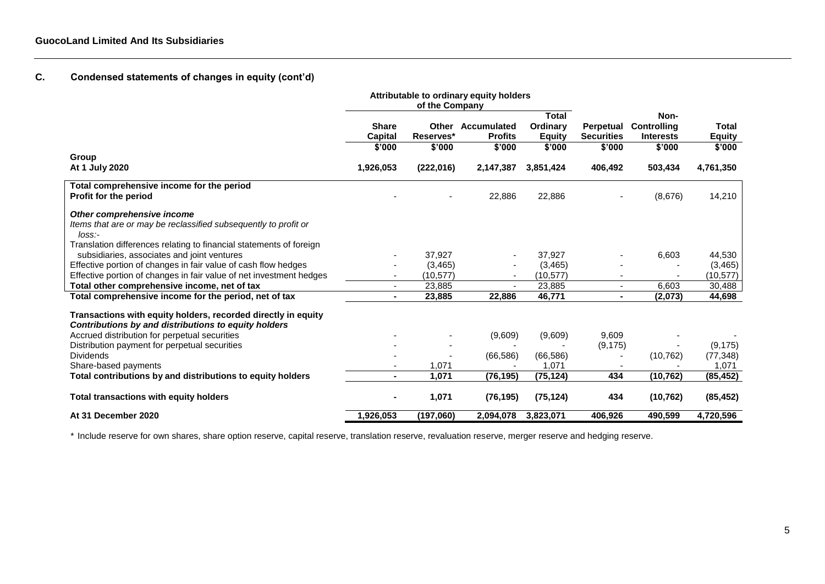# **C. Condensed statements of changes in equity (cont'd)**

|                                                                          | Attributable to ordinary equity holders |                |                          |               |                   |                  |               |
|--------------------------------------------------------------------------|-----------------------------------------|----------------|--------------------------|---------------|-------------------|------------------|---------------|
|                                                                          |                                         | of the Company |                          |               |                   |                  |               |
|                                                                          |                                         |                |                          | <b>Total</b>  |                   | Non-             |               |
|                                                                          | <b>Share</b>                            |                | <b>Other Accumulated</b> | Ordinary      | Perpetual         | Controlling      | Total         |
|                                                                          | Capital                                 | Reserves*      | <b>Profits</b>           | <b>Equity</b> | <b>Securities</b> | <b>Interests</b> | <b>Equity</b> |
|                                                                          | \$'000                                  | \$'000         | \$'000                   | \$'000        | \$'000            | \$'000           | \$'000        |
| Group                                                                    |                                         |                |                          |               |                   |                  |               |
| At 1 July 2020                                                           | 1,926,053                               | (222,016)      | 2,147,387                | 3,851,424     | 406,492           | 503,434          | 4,761,350     |
| Total comprehensive income for the period                                |                                         |                |                          |               |                   |                  |               |
| <b>Profit for the period</b>                                             |                                         |                | 22,886                   | 22,886        |                   | (8,676)          | 14,210        |
| Other comprehensive income                                               |                                         |                |                          |               |                   |                  |               |
| Items that are or may be reclassified subsequently to profit or<br>loss: |                                         |                |                          |               |                   |                  |               |
| Translation differences relating to financial statements of foreign      |                                         |                |                          |               |                   |                  |               |
| subsidiaries, associates and joint ventures                              |                                         | 37,927         |                          | 37,927        |                   | 6,603            | 44,530        |
| Effective portion of changes in fair value of cash flow hedges           |                                         | (3, 465)       |                          | (3, 465)      |                   |                  | (3, 465)      |
| Effective portion of changes in fair value of net investment hedges      |                                         | (10, 577)      |                          | (10, 577)     |                   |                  | (10,577)      |
| Total other comprehensive income, net of tax                             |                                         | 23,885         |                          | 23,885        |                   | 6.603            | 30,488        |
| Total comprehensive income for the period, net of tax                    | $\blacksquare$                          | 23,885         | 22,886                   | 46,771        | $\blacksquare$    | (2,073)          | 44,698        |
| Transactions with equity holders, recorded directly in equity            |                                         |                |                          |               |                   |                  |               |
| Contributions by and distributions to equity holders                     |                                         |                |                          |               |                   |                  |               |
| Accrued distribution for perpetual securities                            |                                         |                | (9,609)                  | (9,609)       | 9,609             |                  |               |
| Distribution payment for perpetual securities                            |                                         |                |                          |               | (9, 175)          |                  | (9, 175)      |
| <b>Dividends</b>                                                         |                                         |                | (66, 586)                | (66, 586)     |                   | (10, 762)        | (77, 348)     |
| Share-based payments                                                     |                                         | 1,071          |                          | 1,071         |                   |                  | 1,071         |
| Total contributions by and distributions to equity holders               | $\blacksquare$                          | 1.071          | (76, 195)                | (75, 124)     | 434               | (10, 762)        | (85, 452)     |
| Total transactions with equity holders                                   |                                         | 1,071          | (76, 195)                | (75, 124)     | 434               | (10, 762)        | (85, 452)     |
| At 31 December 2020                                                      | 1,926,053                               | (197,060)      | 2,094,078                | 3,823,071     | 406,926           | 490,599          | 4,720,596     |

\* Include reserve for own shares, share option reserve, capital reserve, translation reserve, revaluation reserve, merger reserve and hedging reserve.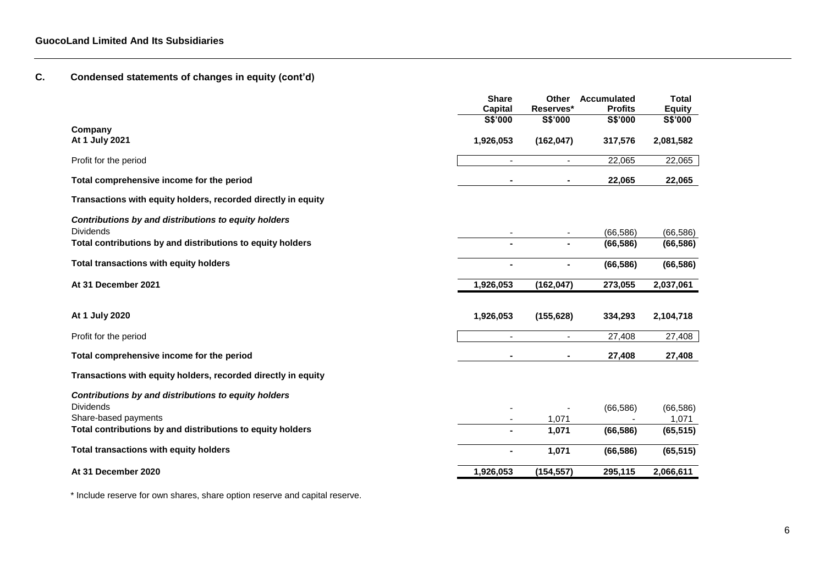# **C. Condensed statements of changes in equity (cont'd)**

|                                                                          | <b>Share</b><br><b>Capital</b> | Other<br>Reserves*       | Accumulated<br><b>Profits</b> | <b>Total</b><br><b>Equity</b> |
|--------------------------------------------------------------------------|--------------------------------|--------------------------|-------------------------------|-------------------------------|
|                                                                          | S\$'000                        | S\$'000                  | S\$'000                       | S\$'000                       |
| Company<br>At 1 July 2021                                                | 1,926,053                      | (162, 047)               | 317,576                       | 2,081,582                     |
| Profit for the period                                                    | $\sim$                         | $\sim$                   | 22,065                        | 22,065                        |
| Total comprehensive income for the period                                |                                | $\sim$                   | 22,065                        | 22,065                        |
| Transactions with equity holders, recorded directly in equity            |                                |                          |                               |                               |
| Contributions by and distributions to equity holders<br><b>Dividends</b> |                                | $\overline{\phantom{a}}$ | (66, 586)                     | (66, 586)                     |
| Total contributions by and distributions to equity holders               |                                |                          | (66, 586)                     | (66, 586)                     |
| Total transactions with equity holders                                   |                                |                          | (66, 586)                     | (66, 586)                     |
| At 31 December 2021                                                      | 1,926,053                      | (162, 047)               | 273,055                       | 2,037,061                     |
|                                                                          |                                |                          |                               |                               |
| At 1 July 2020                                                           | 1,926,053                      | (155, 628)               | 334,293                       | 2,104,718                     |
| Profit for the period                                                    |                                |                          | 27,408                        | 27,408                        |
| Total comprehensive income for the period                                |                                | $\blacksquare$           | 27,408                        | 27,408                        |
| Transactions with equity holders, recorded directly in equity            |                                |                          |                               |                               |
| Contributions by and distributions to equity holders                     |                                |                          |                               |                               |
| <b>Dividends</b>                                                         |                                |                          | (66, 586)                     | (66, 586)                     |
| Share-based payments                                                     |                                | 1,071                    |                               | 1,071                         |
| Total contributions by and distributions to equity holders               |                                | 1,071                    | (66, 586)                     | (65, 515)                     |
| Total transactions with equity holders                                   |                                | 1,071                    | (66, 586)                     | (65, 515)                     |
| At 31 December 2020                                                      | 1,926,053                      | (154, 557)               | 295,115                       | 2,066,611                     |

\* Include reserve for own shares, share option reserve and capital reserve.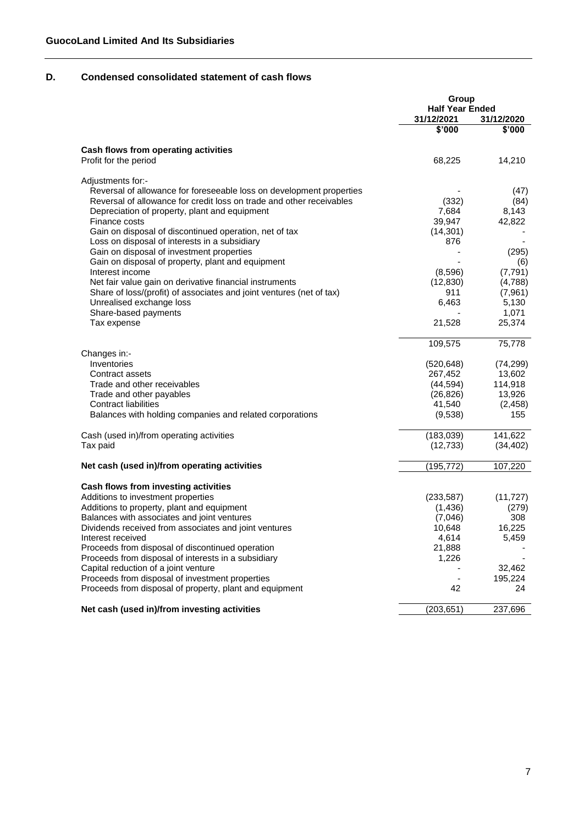# **D. Condensed consolidated statement of cash flows**

|                                                                      | Group                  |                      |
|----------------------------------------------------------------------|------------------------|----------------------|
|                                                                      | <b>Half Year Ended</b> |                      |
|                                                                      | 31/12/2021<br>\$'000   | 31/12/2020<br>\$'000 |
|                                                                      |                        |                      |
| Cash flows from operating activities                                 |                        |                      |
| Profit for the period                                                | 68,225                 | 14,210               |
| Adjustments for:-                                                    |                        |                      |
| Reversal of allowance for foreseeable loss on development properties |                        | (47)                 |
| Reversal of allowance for credit loss on trade and other receivables | (332)                  | (84)                 |
| Depreciation of property, plant and equipment                        | 7,684                  | 8,143                |
| Finance costs                                                        | 39,947                 | 42,822               |
| Gain on disposal of discontinued operation, net of tax               | (14, 301)              |                      |
| Loss on disposal of interests in a subsidiary                        | 876                    |                      |
| Gain on disposal of investment properties                            |                        | (295)                |
| Gain on disposal of property, plant and equipment                    |                        | (6)                  |
| Interest income                                                      | (8,596)                | (7,791)              |
| Net fair value gain on derivative financial instruments              | (12, 830)              | (4,788)              |
| Share of loss/(profit) of associates and joint ventures (net of tax) | 911                    | (7,961)              |
| Unrealised exchange loss                                             | 6,463                  | 5,130                |
| Share-based payments                                                 |                        | 1,071                |
| Tax expense                                                          | 21,528                 | 25,374               |
|                                                                      | 109,575                | 75,778               |
| Changes in:-                                                         |                        |                      |
| Inventories                                                          | (520, 648)             | (74, 299)            |
| Contract assets                                                      | 267,452                | 13,602               |
| Trade and other receivables                                          | (44, 594)              | 114,918              |
| Trade and other payables                                             | (26, 826)              | 13,926               |
| <b>Contract liabilities</b>                                          | 41,540                 | (2, 458)             |
| Balances with holding companies and related corporations             | (9,538)                | 155                  |
| Cash (used in)/from operating activities                             | (183,039)              | 141,622              |
| Tax paid                                                             | (12, 733)              | (34, 402)            |
| Net cash (used in)/from operating activities                         | (195, 772)             | 107,220              |
| Cash flows from investing activities                                 |                        |                      |
| Additions to investment properties                                   |                        |                      |
|                                                                      | (233, 587)             | (11, 727)            |
| Additions to property, plant and equipment                           | (1,436)                | (279)                |
| Balances with associates and joint ventures                          | (7,046)                | 308                  |
| Dividends received from associates and joint ventures                | 10,648                 | 16,225               |
| Interest received                                                    | 4,614                  | 5,459                |
| Proceeds from disposal of discontinued operation                     | 21,888                 |                      |
| Proceeds from disposal of interests in a subsidiary                  | 1,226                  |                      |
| Capital reduction of a joint venture                                 |                        | 32,462               |
| Proceeds from disposal of investment properties                      |                        | 195,224              |
| Proceeds from disposal of property, plant and equipment              | 42                     | 24                   |
| Net cash (used in)/from investing activities                         | (203, 651)             | 237,696              |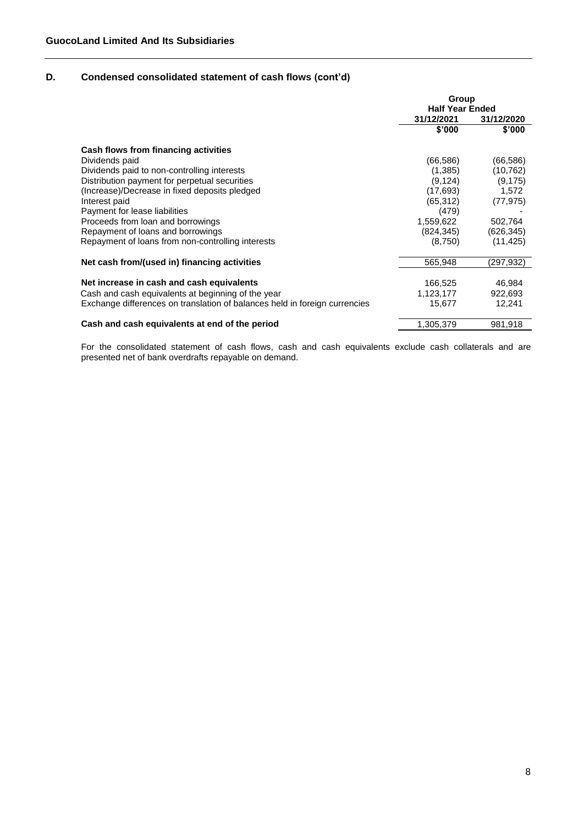# **D. Condensed consolidated statement of cash flows (cont'd)**

|                                                                            | Group<br><b>Half Year Ended</b> |            |  |
|----------------------------------------------------------------------------|---------------------------------|------------|--|
|                                                                            | 31/12/2021                      | 31/12/2020 |  |
|                                                                            | \$'000                          | \$'000     |  |
| Cash flows from financing activities                                       |                                 |            |  |
| Dividends paid                                                             | (66,586)                        | (66, 586)  |  |
| Dividends paid to non-controlling interests                                | (1,385)                         | (10, 762)  |  |
| Distribution payment for perpetual securities                              | (9, 124)                        | (9, 175)   |  |
| (Increase)/Decrease in fixed deposits pledged                              | (17, 693)                       | 1.572      |  |
| Interest paid                                                              | (65,312)                        | (77, 975)  |  |
| Payment for lease liabilities                                              | (479)                           |            |  |
| Proceeds from loan and borrowings                                          | 1,559,622                       | 502,764    |  |
| Repayment of loans and borrowings                                          | (824, 345)                      | (626, 345) |  |
| Repayment of loans from non-controlling interests                          | (8,750)                         | (11, 425)  |  |
| Net cash from/(used in) financing activities                               | 565,948                         | (297,932)  |  |
|                                                                            |                                 |            |  |
| Net increase in cash and cash equivalents                                  | 166,525                         | 46.984     |  |
| Cash and cash equivalents at beginning of the year                         | 1,123,177                       | 922,693    |  |
| Exchange differences on translation of balances held in foreign currencies | 15,677                          | 12,241     |  |
| Cash and cash equivalents at end of the period                             | 1,305,379                       | 981,918    |  |

For the consolidated statement of cash flows, cash and cash equivalents exclude cash collaterals and are presented net of bank overdrafts repayable on demand.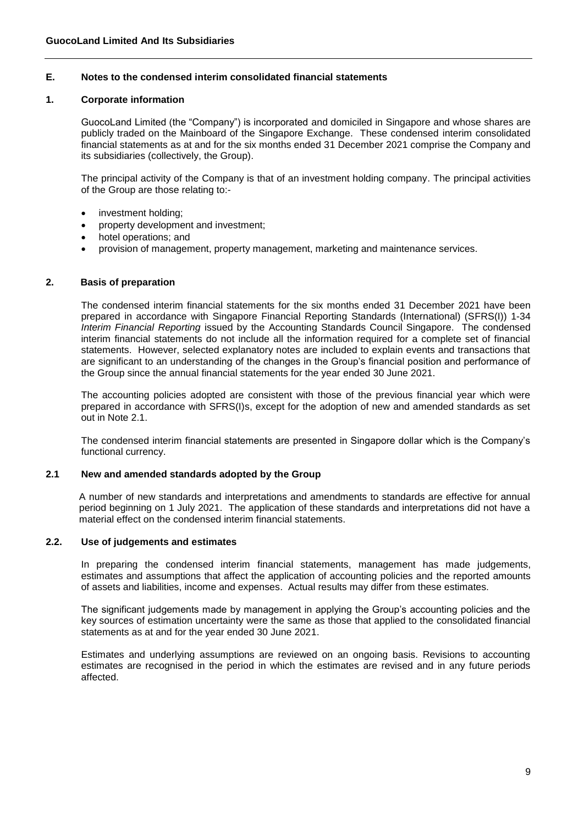# **E. Notes to the condensed interim consolidated financial statements**

#### **1. Corporate information**

GuocoLand Limited (the "Company") is incorporated and domiciled in Singapore and whose shares are publicly traded on the Mainboard of the Singapore Exchange. These condensed interim consolidated financial statements as at and for the six months ended 31 December 2021 comprise the Company and its subsidiaries (collectively, the Group).

The principal activity of the Company is that of an investment holding company. The principal activities of the Group are those relating to:-

- investment holding;
- property development and investment;
- hotel operations; and
- provision of management, property management, marketing and maintenance services.

#### **2. Basis of preparation**

The condensed interim financial statements for the six months ended 31 December 2021 have been prepared in accordance with Singapore Financial Reporting Standards (International) (SFRS(I)) 1-34 *Interim Financial Reporting* issued by the Accounting Standards Council Singapore. The condensed interim financial statements do not include all the information required for a complete set of financial statements. However, selected explanatory notes are included to explain events and transactions that are significant to an understanding of the changes in the Group's financial position and performance of the Group since the annual financial statements for the year ended 30 June 2021.

The accounting policies adopted are consistent with those of the previous financial year which were prepared in accordance with SFRS(I)s, except for the adoption of new and amended standards as set out in Note 2.1.

The condensed interim financial statements are presented in Singapore dollar which is the Company's functional currency.

#### **2.1 New and amended standards adopted by the Group**

A number of new standards and interpretations and amendments to standards are effective for annual period beginning on 1 July 2021. The application of these standards and interpretations did not have a material effect on the condensed interim financial statements.

#### **2.2. Use of judgements and estimates**

In preparing the condensed interim financial statements, management has made judgements, estimates and assumptions that affect the application of accounting policies and the reported amounts of assets and liabilities, income and expenses. Actual results may differ from these estimates.

The significant judgements made by management in applying the Group's accounting policies and the key sources of estimation uncertainty were the same as those that applied to the consolidated financial statements as at and for the year ended 30 June 2021.

Estimates and underlying assumptions are reviewed on an ongoing basis. Revisions to accounting estimates are recognised in the period in which the estimates are revised and in any future periods affected.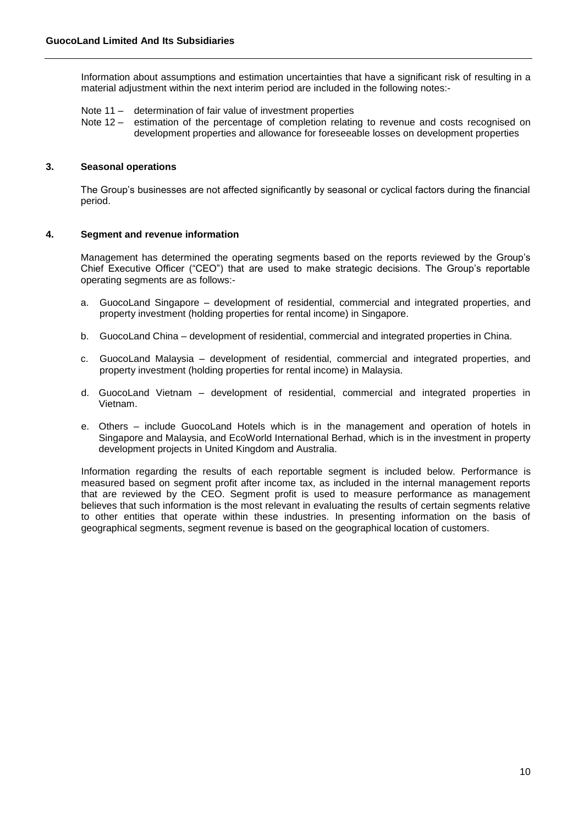Information about assumptions and estimation uncertainties that have a significant risk of resulting in a material adjustment within the next interim period are included in the following notes:-

- Note 11 determination of fair value of investment properties
- Note 12 estimation of the percentage of completion relating to revenue and costs recognised on development properties and allowance for foreseeable losses on development properties

# **3. Seasonal operations**

The Group's businesses are not affected significantly by seasonal or cyclical factors during the financial period.

#### **4. Segment and revenue information**

Management has determined the operating segments based on the reports reviewed by the Group's Chief Executive Officer ("CEO") that are used to make strategic decisions. The Group's reportable operating segments are as follows:-

- a. GuocoLand Singapore development of residential, commercial and integrated properties, and property investment (holding properties for rental income) in Singapore.
- b. GuocoLand China development of residential, commercial and integrated properties in China.
- c. GuocoLand Malaysia development of residential, commercial and integrated properties, and property investment (holding properties for rental income) in Malaysia.
- d. GuocoLand Vietnam development of residential, commercial and integrated properties in Vietnam.
- e. Others include GuocoLand Hotels which is in the management and operation of hotels in Singapore and Malaysia, and EcoWorld International Berhad, which is in the investment in property development projects in United Kingdom and Australia.

Information regarding the results of each reportable segment is included below. Performance is measured based on segment profit after income tax, as included in the internal management reports that are reviewed by the CEO. Segment profit is used to measure performance as management believes that such information is the most relevant in evaluating the results of certain segments relative to other entities that operate within these industries. In presenting information on the basis of geographical segments, segment revenue is based on the geographical location of customers.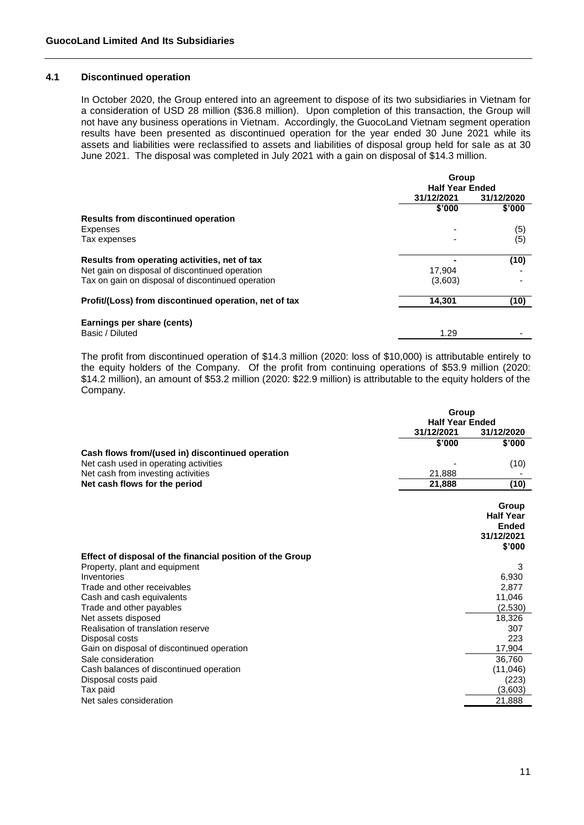#### **4.1 Discontinued operation**

In October 2020, the Group entered into an agreement to dispose of its two subsidiaries in Vietnam for a consideration of USD 28 million (\$36.8 million). Upon completion of this transaction, the Group will not have any business operations in Vietnam. Accordingly, the GuocoLand Vietnam segment operation results have been presented as discontinued operation for the year ended 30 June 2021 while its assets and liabilities were reclassified to assets and liabilities of disposal group held for sale as at 30 June 2021. The disposal was completed in July 2021 with a gain on disposal of \$14.3 million.

|                                                       |                        | Group      |  |  |
|-------------------------------------------------------|------------------------|------------|--|--|
|                                                       | <b>Half Year Ended</b> |            |  |  |
|                                                       | 31/12/2021             | 31/12/2020 |  |  |
|                                                       | \$'000                 | \$'000     |  |  |
| Results from discontinued operation                   |                        |            |  |  |
| Expenses                                              |                        | (5)        |  |  |
| Tax expenses                                          |                        | (5)        |  |  |
| Results from operating activities, net of tax         |                        | (10)       |  |  |
| Net gain on disposal of discontinued operation        | 17.904                 |            |  |  |
| Tax on gain on disposal of discontinued operation     | (3,603)                |            |  |  |
| Profit/(Loss) from discontinued operation, net of tax | 14,301                 | (10)       |  |  |
| Earnings per share (cents)                            |                        |            |  |  |
| Basic / Diluted                                       | 1.29                   |            |  |  |

The profit from discontinued operation of \$14.3 million (2020: loss of \$10,000) is attributable entirely to the equity holders of the Company. Of the profit from continuing operations of \$53.9 million (2020: \$14.2 million), an amount of \$53.2 million (2020: \$22.9 million) is attributable to the equity holders of the Company.

| 31/12/2021<br>31/12/2020<br>\$'000<br>\$'000<br>(10)<br>21,888<br>21,888<br>(10)<br>Group<br><b>Half Year</b><br><b>Ended</b><br>31/12/2021<br>\$'000<br>3<br>6,930<br>2,877<br>11,046<br>(2,530)<br>18,326<br>307<br>223<br>17,904<br>36.760<br>(11,046)<br>(223)<br>(3,603)<br>21,888 |                                                           | Group<br><b>Half Year Ended</b> |  |  |
|-----------------------------------------------------------------------------------------------------------------------------------------------------------------------------------------------------------------------------------------------------------------------------------------|-----------------------------------------------------------|---------------------------------|--|--|
|                                                                                                                                                                                                                                                                                         |                                                           |                                 |  |  |
|                                                                                                                                                                                                                                                                                         |                                                           |                                 |  |  |
|                                                                                                                                                                                                                                                                                         | Cash flows from/(used in) discontinued operation          |                                 |  |  |
|                                                                                                                                                                                                                                                                                         | Net cash used in operating activities                     |                                 |  |  |
|                                                                                                                                                                                                                                                                                         | Net cash from investing activities                        |                                 |  |  |
|                                                                                                                                                                                                                                                                                         | Net cash flows for the period                             |                                 |  |  |
|                                                                                                                                                                                                                                                                                         |                                                           |                                 |  |  |
|                                                                                                                                                                                                                                                                                         |                                                           |                                 |  |  |
|                                                                                                                                                                                                                                                                                         |                                                           |                                 |  |  |
|                                                                                                                                                                                                                                                                                         |                                                           |                                 |  |  |
|                                                                                                                                                                                                                                                                                         |                                                           |                                 |  |  |
|                                                                                                                                                                                                                                                                                         | Effect of disposal of the financial position of the Group |                                 |  |  |
|                                                                                                                                                                                                                                                                                         | Property, plant and equipment                             |                                 |  |  |
|                                                                                                                                                                                                                                                                                         | Inventories                                               |                                 |  |  |
|                                                                                                                                                                                                                                                                                         | Trade and other receivables                               |                                 |  |  |
|                                                                                                                                                                                                                                                                                         | Cash and cash equivalents                                 |                                 |  |  |
|                                                                                                                                                                                                                                                                                         | Trade and other payables                                  |                                 |  |  |
|                                                                                                                                                                                                                                                                                         | Net assets disposed                                       |                                 |  |  |
|                                                                                                                                                                                                                                                                                         | Realisation of translation reserve                        |                                 |  |  |
|                                                                                                                                                                                                                                                                                         | Disposal costs                                            |                                 |  |  |
|                                                                                                                                                                                                                                                                                         | Gain on disposal of discontinued operation                |                                 |  |  |
|                                                                                                                                                                                                                                                                                         | Sale consideration                                        |                                 |  |  |
|                                                                                                                                                                                                                                                                                         | Cash balances of discontinued operation                   |                                 |  |  |
|                                                                                                                                                                                                                                                                                         | Disposal costs paid                                       |                                 |  |  |
|                                                                                                                                                                                                                                                                                         | Tax paid                                                  |                                 |  |  |
|                                                                                                                                                                                                                                                                                         | Net sales consideration                                   |                                 |  |  |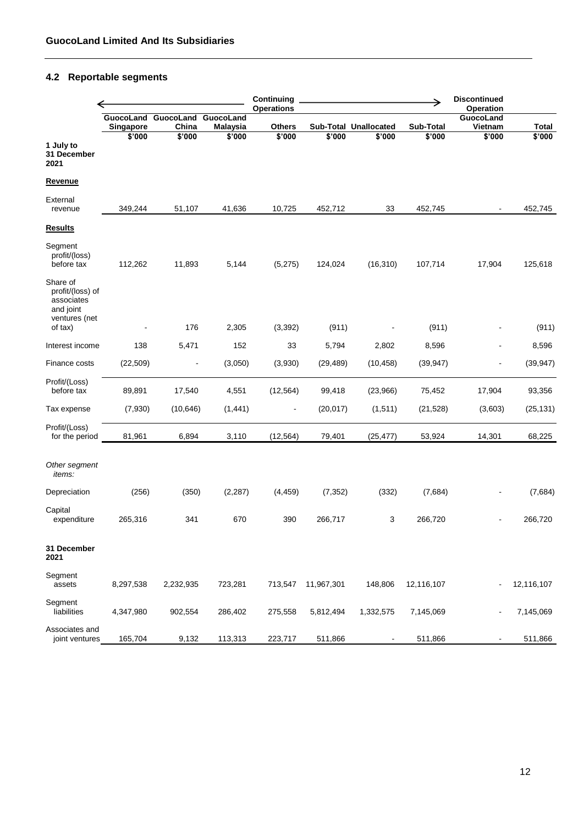# **4.2 Reportable segments**

|                                                                                     |                        |                              |                                        | Continuing<br><b>Operations</b> |            |                          |                  | <b>Discontinued</b><br>Operation |              |
|-------------------------------------------------------------------------------------|------------------------|------------------------------|----------------------------------------|---------------------------------|------------|--------------------------|------------------|----------------------------------|--------------|
|                                                                                     | GuocoLand<br>Singapore | GuocoLand<br>China<br>\$'000 | GuocoLand<br><b>Malaysia</b><br>\$'000 | <b>Others</b>                   |            | Sub-Total Unallocated    | <b>Sub-Total</b> | GuocoLand<br>Vietnam             | <b>Total</b> |
| 1 July to<br>31 December<br>2021                                                    | \$'000                 |                              |                                        | \$'000                          | \$'000     | \$'000                   | \$'000           | \$'000                           | \$'000       |
| <u>Revenue</u>                                                                      |                        |                              |                                        |                                 |            |                          |                  |                                  |              |
| External<br>revenue                                                                 | 349,244                | 51,107                       | 41,636                                 | 10,725                          | 452,712    | 33                       | 452,745          |                                  | 452,745      |
| <b>Results</b>                                                                      |                        |                              |                                        |                                 |            |                          |                  |                                  |              |
| Segment<br>profit/(loss)<br>before tax                                              | 112,262                | 11,893                       | 5,144                                  | (5,275)                         | 124,024    | (16, 310)                | 107,714          | 17,904                           | 125,618      |
| Share of<br>profit/(loss) of<br>associates<br>and joint<br>ventures (net<br>of tax) |                        | 176                          | 2,305                                  | (3, 392)                        | (911)      |                          | (911)            |                                  | (911)        |
| Interest income                                                                     | 138                    | 5,471                        | 152                                    | 33                              | 5,794      | 2,802                    | 8,596            |                                  | 8,596        |
| Finance costs                                                                       | (22, 509)              |                              | (3,050)                                | (3,930)                         | (29, 489)  | (10, 458)                | (39, 947)        |                                  | (39, 947)    |
| Profit/(Loss)<br>before tax                                                         | 89,891                 | 17,540                       | 4,551                                  | (12, 564)                       | 99,418     | (23,966)                 | 75,452           | 17,904                           | 93,356       |
| Tax expense                                                                         | (7,930)                | (10, 646)                    | (1, 441)                               |                                 | (20, 017)  | (1, 511)                 | (21, 528)        | (3,603)                          | (25, 131)    |
| Profit/(Loss)<br>for the period                                                     | 81,961                 | 6,894                        | 3,110                                  | (12, 564)                       | 79,401     | (25, 477)                | 53,924           | 14,301                           | 68,225       |
| Other segment<br><i>items:</i>                                                      |                        |                              |                                        |                                 |            |                          |                  |                                  |              |
| Depreciation                                                                        | (256)                  | (350)                        | (2, 287)                               | (4, 459)                        | (7, 352)   | (332)                    | (7,684)          |                                  | (7,684)      |
| Capital<br>expenditure                                                              | 265,316                | 341                          | 670                                    | 390                             | 266,717    | 3                        | 266,720          |                                  | 266,720      |
| 31 December<br>2021                                                                 |                        |                              |                                        |                                 |            |                          |                  |                                  |              |
| Segment<br>assets                                                                   | 8,297,538              | 2,232,935                    | 723,281                                | 713,547                         | 11,967,301 | 148,806                  | 12,116,107       | $\blacksquare$                   | 12,116,107   |
| Segment<br>liabilities                                                              | 4,347,980              | 902,554                      | 286,402                                | 275,558                         | 5,812,494  | 1,332,575                | 7,145,069        |                                  | 7,145,069    |
| Associates and<br>joint ventures                                                    | 165,704                | 9,132                        | 113,313                                | 223,717                         | 511,866    | $\overline{\phantom{a}}$ | 511,866          | $\blacksquare$                   | 511,866      |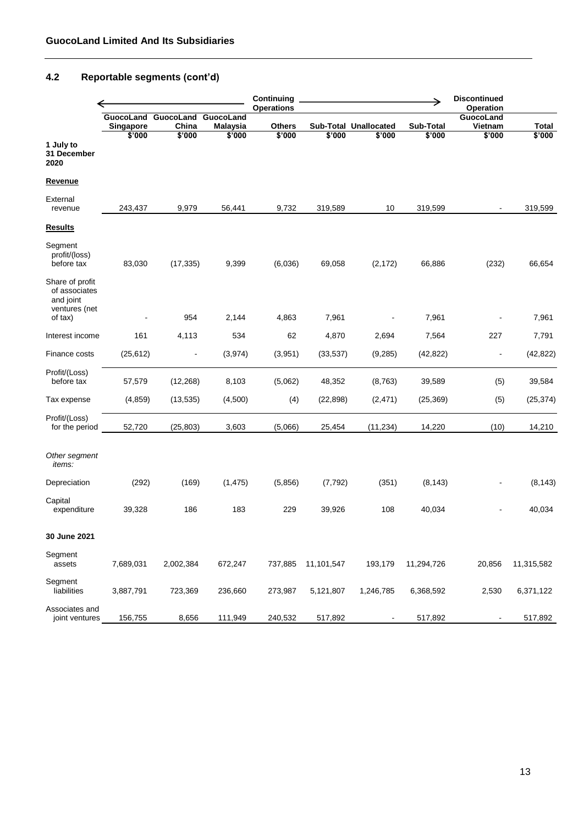# **4.2 Reportable segments (cont'd)**

|                                                                           |                     |                                        |                                        | Continuing<br><b>Operations</b> |            |                                 |                     | <b>Discontinued</b><br>Operation |                 |
|---------------------------------------------------------------------------|---------------------|----------------------------------------|----------------------------------------|---------------------------------|------------|---------------------------------|---------------------|----------------------------------|-----------------|
|                                                                           | Singapore<br>\$'000 | GuocoLand GuocoLand<br>China<br>\$'000 | GuocoLand<br><b>Malaysia</b><br>\$'000 | <b>Others</b><br>\$'000         | \$'000     | Sub-Total Unallocated<br>\$'000 | Sub-Total<br>\$'000 | GuocoLand<br>Vietnam<br>\$'000   | Total<br>\$'000 |
| 1 July to<br>31 December<br>2020                                          |                     |                                        |                                        |                                 |            |                                 |                     |                                  |                 |
| Revenue                                                                   |                     |                                        |                                        |                                 |            |                                 |                     |                                  |                 |
| External<br>revenue                                                       | 243,437             | 9,979                                  | 56,441                                 | 9,732                           | 319,589    | 10                              | 319,599             | $\blacksquare$                   | 319,599         |
| <b>Results</b>                                                            |                     |                                        |                                        |                                 |            |                                 |                     |                                  |                 |
| Segment<br>profit/(loss)<br>before tax                                    | 83,030              | (17, 335)                              | 9,399                                  | (6,036)                         | 69,058     | (2, 172)                        | 66,886              | (232)                            | 66,654          |
| Share of profit<br>of associates<br>and joint<br>ventures (net<br>of tax) |                     | 954                                    | 2,144                                  | 4,863                           | 7,961      |                                 | 7,961               |                                  | 7,961           |
| Interest income                                                           | 161                 | 4,113                                  | 534                                    | 62                              | 4,870      | 2,694                           | 7,564               | 227                              | 7,791           |
| Finance costs                                                             | (25, 612)           |                                        | (3,974)                                | (3,951)                         | (33, 537)  | (9,285)                         | (42, 822)           |                                  | (42, 822)       |
| Profit/(Loss)<br>before tax                                               | 57,579              | (12, 268)                              | 8,103                                  | (5,062)                         | 48,352     | (8, 763)                        | 39,589              | (5)                              | 39,584          |
| Tax expense                                                               | (4, 859)            | (13, 535)                              | (4,500)                                | (4)                             | (22, 898)  | (2, 471)                        | (25, 369)           | (5)                              | (25, 374)       |
| Profit/(Loss)<br>for the period                                           | 52,720              | (25, 803)                              | 3,603                                  | (5,066)                         | 25,454     | (11, 234)                       | 14,220              | (10)                             | 14,210          |
| Other segment<br><i>items:</i>                                            |                     |                                        |                                        |                                 |            |                                 |                     |                                  |                 |
| Depreciation                                                              | (292)               | (169)                                  | (1, 475)                               | (5,856)                         | (7, 792)   | (351)                           | (8, 143)            |                                  | (8, 143)        |
| Capital<br>expenditure                                                    | 39,328              | 186                                    | 183                                    | 229                             | 39,926     | 108                             | 40,034              |                                  | 40,034          |
| 30 June 2021                                                              |                     |                                        |                                        |                                 |            |                                 |                     |                                  |                 |
| Segment<br>assets                                                         | 7,689,031           | 2,002,384                              | 672,247                                | 737,885                         | 11,101,547 | 193,179                         | 11,294,726          | 20,856                           | 11,315,582      |
| Segment<br>liabilities                                                    | 3,887,791           | 723,369                                | 236,660                                | 273,987                         | 5,121,807  | 1,246,785                       | 6,368,592           | 2,530                            | 6,371,122       |
| Associates and<br>joint ventures                                          | 156,755             | 8,656                                  | 111,949                                | 240,532                         | 517,892    |                                 | 517,892             | $\overline{\phantom{a}}$         | 517,892         |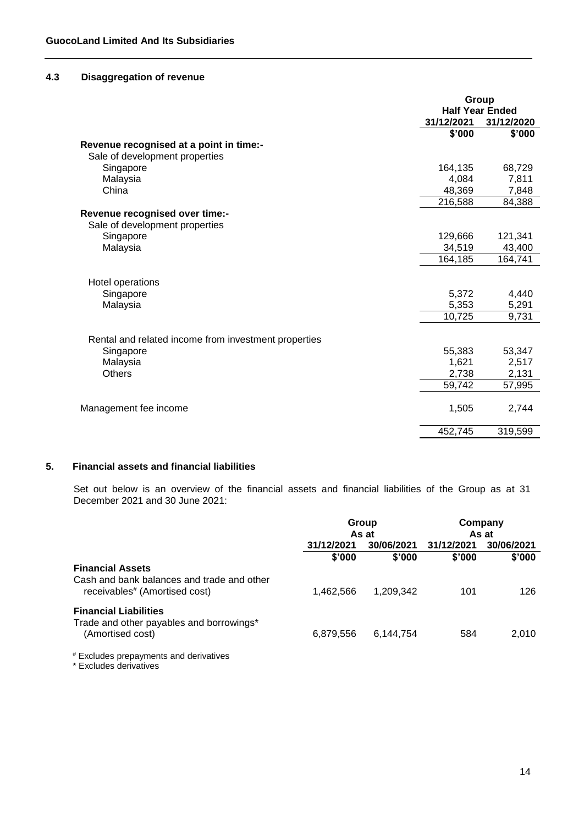# **4.3 Disaggregation of revenue**

|                                                      | Group                  |            |  |
|------------------------------------------------------|------------------------|------------|--|
|                                                      | <b>Half Year Ended</b> |            |  |
|                                                      | 31/12/2021             | 31/12/2020 |  |
|                                                      | \$'000                 | \$'000     |  |
| Revenue recognised at a point in time:-              |                        |            |  |
| Sale of development properties                       |                        |            |  |
| Singapore                                            | 164,135                | 68,729     |  |
| Malaysia                                             | 4,084                  | 7,811      |  |
| China                                                | 48,369                 | 7,848      |  |
|                                                      | 216,588                | 84,388     |  |
| Revenue recognised over time:-                       |                        |            |  |
| Sale of development properties                       |                        |            |  |
| Singapore                                            | 129,666                | 121,341    |  |
| Malaysia                                             | 34,519                 | 43,400     |  |
|                                                      | 164,185                | 164,741    |  |
|                                                      |                        |            |  |
| Hotel operations                                     |                        |            |  |
| Singapore                                            | 5,372                  | 4,440      |  |
| Malaysia                                             | 5,353                  | 5,291      |  |
|                                                      | 10,725                 | 9,731      |  |
|                                                      |                        |            |  |
| Rental and related income from investment properties |                        |            |  |
| Singapore                                            | 55,383                 | 53,347     |  |
| Malaysia                                             | 1,621                  | 2,517      |  |
| <b>Others</b>                                        | 2,738                  | 2,131      |  |
|                                                      | 59,742                 | 57,995     |  |
|                                                      |                        |            |  |
| Management fee income                                | 1,505                  | 2,744      |  |
|                                                      | 452,745                | 319,599    |  |

# **5. Financial assets and financial liabilities**

Set out below is an overview of the financial assets and financial liabilities of the Group as at 31 December 2021 and 30 June 2021:

|                                                                                                                    | Group                             |           | Company<br>As at         |        |
|--------------------------------------------------------------------------------------------------------------------|-----------------------------------|-----------|--------------------------|--------|
|                                                                                                                    | As at<br>30/06/2021<br>31/12/2021 |           | 31/12/2021<br>30/06/2021 |        |
|                                                                                                                    | \$'000                            | \$'000    | \$'000                   | \$'000 |
| <b>Financial Assets</b><br>Cash and bank balances and trade and other<br>receivables <sup>#</sup> (Amortised cost) | 1,462,566                         | 1.209.342 | 101                      | 126    |
| <b>Financial Liabilities</b><br>Trade and other payables and borrowings*<br>(Amortised cost)                       | 6,879,556                         | 6.144.754 | 584                      | 2,010  |
|                                                                                                                    |                                   |           |                          |        |

# Excludes prepayments and derivatives

\* Excludes derivatives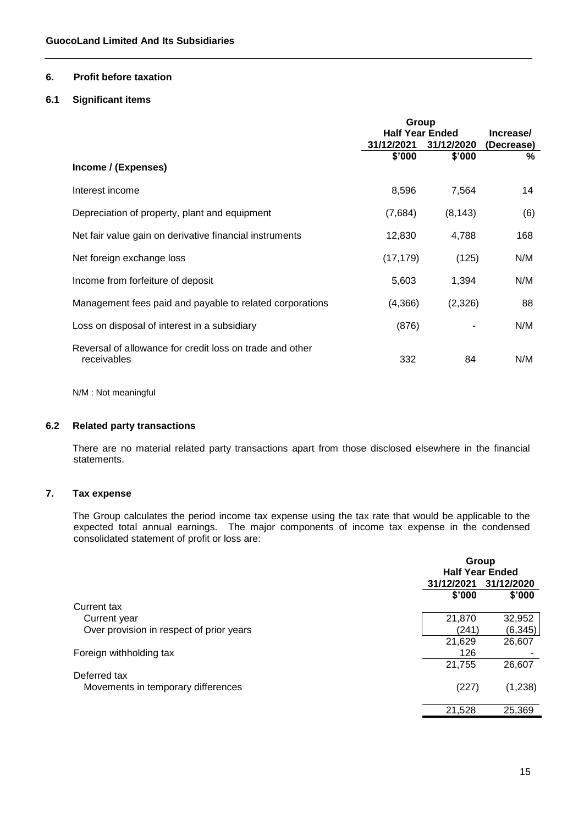# **6. Profit before taxation**

# **6.1 Significant items**

|                                                                         | Group                  |            |            |
|-------------------------------------------------------------------------|------------------------|------------|------------|
|                                                                         | <b>Half Year Ended</b> |            | Increase/  |
|                                                                         | 31/12/2021             | 31/12/2020 | (Decrease) |
|                                                                         | \$'000                 | \$'000     | ℅          |
| Income / (Expenses)                                                     |                        |            |            |
| Interest income                                                         | 8,596                  | 7,564      | 14         |
| Depreciation of property, plant and equipment                           | (7,684)                | (8, 143)   | (6)        |
| Net fair value gain on derivative financial instruments                 | 12,830                 | 4,788      | 168        |
| Net foreign exchange loss                                               | (17, 179)              | (125)      | N/M        |
| Income from forfeiture of deposit                                       | 5,603                  | 1,394      | N/M        |
| Management fees paid and payable to related corporations                | (4,366)                | (2,326)    | 88         |
| Loss on disposal of interest in a subsidiary                            | (876)                  |            | N/M        |
| Reversal of allowance for credit loss on trade and other<br>receivables | 332                    | 84         | N/M        |

N/M : Not meaningful

### **6.2 Related party transactions**

There are no material related party transactions apart from those disclosed elsewhere in the financial statements.

## **7. Tax expense**

The Group calculates the period income tax expense using the tax rate that would be applicable to the expected total annual earnings. The major components of income tax expense in the condensed consolidated statement of profit or loss are:

|                                          | Group<br><b>Half Year Ended</b> |            |  |
|------------------------------------------|---------------------------------|------------|--|
|                                          | 31/12/2021                      | 31/12/2020 |  |
|                                          | \$'000                          | \$'000     |  |
| Current tax                              |                                 |            |  |
| Current year                             | 21,870                          | 32,952     |  |
| Over provision in respect of prior years | (241)                           | (6, 345)   |  |
|                                          | 21,629                          | 26,607     |  |
| Foreign withholding tax                  | 126                             |            |  |
|                                          | 21,755                          | 26,607     |  |
| Deferred tax                             |                                 |            |  |
| Movements in temporary differences       | (227)                           | (1,238)    |  |
|                                          | 21,528                          | 25,369     |  |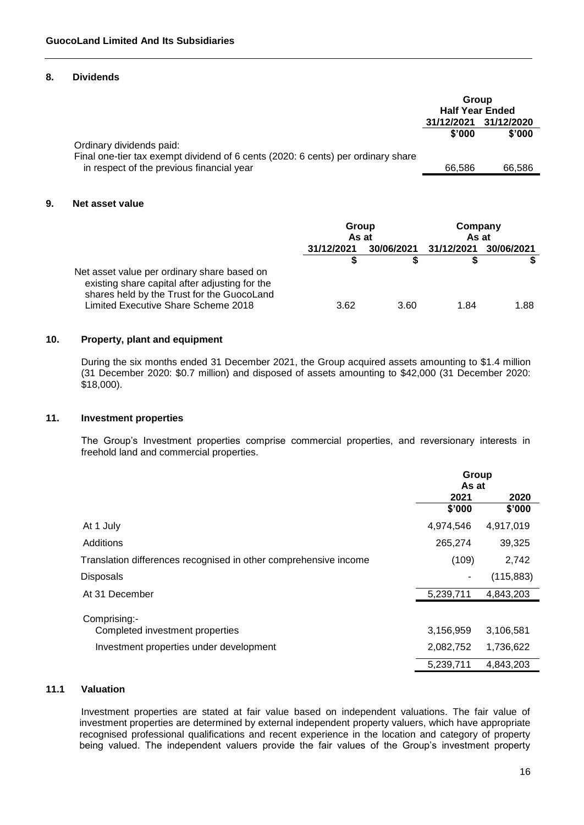#### **8. Dividends**

|                                                                                  | Group<br><b>Half Year Ended</b> |        |
|----------------------------------------------------------------------------------|---------------------------------|--------|
|                                                                                  | 31/12/2021 31/12/2020           |        |
|                                                                                  | \$'000                          | \$'000 |
| Ordinary dividends paid:                                                         |                                 |        |
| Final one-tier tax exempt dividend of 6 cents (2020: 6 cents) per ordinary share |                                 |        |
| in respect of the previous financial year                                        | 66.586                          | 66.586 |

# **9. Net asset value**

|                                                                                                                                             | Group<br>As at |            | Company<br>As at |            |
|---------------------------------------------------------------------------------------------------------------------------------------------|----------------|------------|------------------|------------|
|                                                                                                                                             | 31/12/2021     | 30/06/2021 | 31/12/2021       | 30/06/2021 |
|                                                                                                                                             |                |            |                  |            |
| Net asset value per ordinary share based on<br>existing share capital after adjusting for the<br>shares held by the Trust for the GuocoLand |                |            |                  |            |
| Limited Executive Share Scheme 2018                                                                                                         | 3.62           | 3.60       | 1.84             | 1.88       |

# **10. Property, plant and equipment**

During the six months ended 31 December 2021, the Group acquired assets amounting to \$1.4 million (31 December 2020: \$0.7 million) and disposed of assets amounting to \$42,000 (31 December 2020: \$18,000).

#### **11. Investment properties**

The Group's Investment properties comprise commercial properties, and reversionary interests in freehold land and commercial properties.

|                                                                  | Group<br>As at |            |  |
|------------------------------------------------------------------|----------------|------------|--|
|                                                                  |                |            |  |
|                                                                  | 2021           | 2020       |  |
|                                                                  | \$'000         | \$'000     |  |
| At 1 July                                                        | 4,974,546      | 4,917,019  |  |
| Additions                                                        | 265,274        | 39,325     |  |
| Translation differences recognised in other comprehensive income | (109)          | 2,742      |  |
| <b>Disposals</b>                                                 |                | (115, 883) |  |
| At 31 December                                                   | 5,239,711      | 4,843,203  |  |
| Comprising:-                                                     |                |            |  |
| Completed investment properties                                  | 3,156,959      | 3,106,581  |  |
| Investment properties under development                          | 2,082,752      | 1,736,622  |  |
|                                                                  | 5,239,711      | 4,843,203  |  |

# **11.1 Valuation**

Investment properties are stated at fair value based on independent valuations. The fair value of investment properties are determined by external independent property valuers, which have appropriate recognised professional qualifications and recent experience in the location and category of property being valued. The independent valuers provide the fair values of the Group's investment property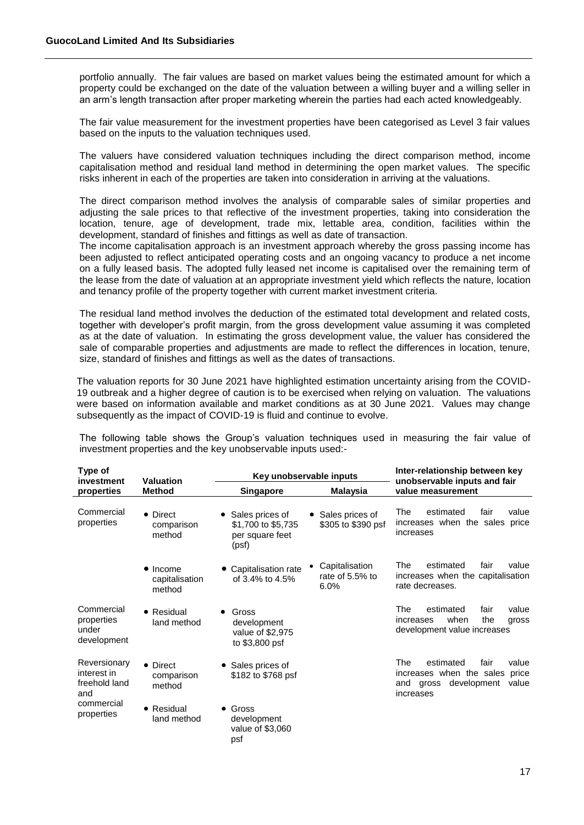portfolio annually. The fair values are based on market values being the estimated amount for which a property could be exchanged on the date of the valuation between a willing buyer and a willing seller in an arm's length transaction after proper marketing wherein the parties had each acted knowledgeably.

The fair value measurement for the investment properties have been categorised as Level 3 fair values based on the inputs to the valuation techniques used.

The valuers have considered valuation techniques including the direct comparison method, income capitalisation method and residual land method in determining the open market values. The specific risks inherent in each of the properties are taken into consideration in arriving at the valuations.

The direct comparison method involves the analysis of comparable sales of similar properties and adjusting the sale prices to that reflective of the investment properties, taking into consideration the location, tenure, age of development, trade mix, lettable area, condition, facilities within the development, standard of finishes and fittings as well as date of transaction.

The income capitalisation approach is an investment approach whereby the gross passing income has been adjusted to reflect anticipated operating costs and an ongoing vacancy to produce a net income on a fully leased basis. The adopted fully leased net income is capitalised over the remaining term of the lease from the date of valuation at an appropriate investment yield which reflects the nature, location and tenancy profile of the property together with current market investment criteria.

The residual land method involves the deduction of the estimated total development and related costs, together with developer's profit margin, from the gross development value assuming it was completed as at the date of valuation. In estimating the gross development value, the valuer has considered the sale of comparable properties and adjustments are made to reflect the differences in location, tenure, size, standard of finishes and fittings as well as the dates of transactions.

The valuation reports for 30 June 2021 have highlighted estimation uncertainty arising from the COVID-19 outbreak and a higher degree of caution is to be exercised when relying on valuation. The valuations were based on information available and market conditions as at 30 June 2021. Values may change subsequently as the impact of COVID-19 is fluid and continue to evolve.

The following table shows the Group's valuation techniques used in measuring the fair value of investment properties and the key unobservable inputs used:-

| Type of<br>investment                               | <b>Valuation</b>                             |                                                                   | Key unobservable inputs                        | Inter-relationship between key<br>unobservable inputs and fair                                                           |  |  |
|-----------------------------------------------------|----------------------------------------------|-------------------------------------------------------------------|------------------------------------------------|--------------------------------------------------------------------------------------------------------------------------|--|--|
| properties                                          | <b>Method</b>                                | Malaysia<br><b>Singapore</b>                                      |                                                | value measurement                                                                                                        |  |  |
| Commercial<br>properties                            | • Direct<br>comparison<br>method             | Sales prices of<br>\$1,700 to \$5,735<br>per square feet<br>(psf) | Sales prices of<br>\$305 to \$390 psf          | estimated<br>The<br>fair<br>value<br>increases when the sales price<br>increases                                         |  |  |
|                                                     | $\bullet$ Income<br>capitalisation<br>method | Capitalisation rate<br>of 3.4% to 4.5%                            | Capitalisation<br>٠<br>rate of 5.5% to<br>6.0% | estimated<br>fair<br>value<br>The<br>increases when the capitalisation<br>rate decreases.                                |  |  |
| Commercial<br>properties<br>under<br>development    | • Residual<br>land method                    | Gross<br>development<br>value of \$2,975<br>to \$3,800 psf        |                                                | estimated<br>fair<br>value<br>The<br>when<br>the<br>increases<br>gross<br>development value increases                    |  |  |
| Reversionary<br>interest in<br>freehold land<br>and | • Direct<br>comparison<br>method             | Sales prices of<br>\$182 to \$768 psf                             |                                                | The<br>value<br>estimated<br>fair<br>increases when the sales<br>price<br>development<br>and gross<br>value<br>increases |  |  |
| commercial<br>properties                            | • Residual<br>land method                    | Gross<br>development<br>value of \$3,060<br>psf                   |                                                |                                                                                                                          |  |  |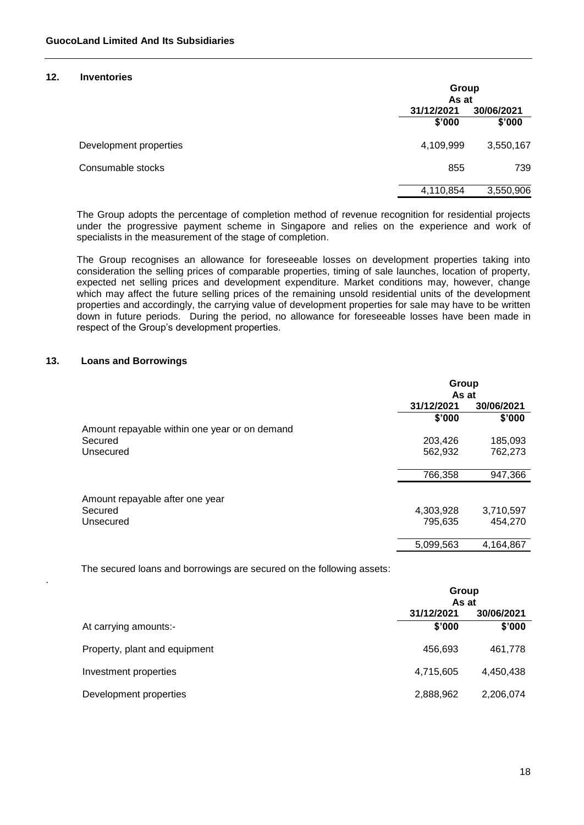### **12. Inventories**

|                        |            | Group<br>As at |  |  |
|------------------------|------------|----------------|--|--|
|                        | 31/12/2021 | 30/06/2021     |  |  |
|                        | \$'000     | \$'000         |  |  |
| Development properties | 4,109,999  | 3,550,167      |  |  |
| Consumable stocks      | 855        | 739            |  |  |
|                        | 4,110,854  | 3,550,906      |  |  |

The Group adopts the percentage of completion method of revenue recognition for residential projects under the progressive payment scheme in Singapore and relies on the experience and work of specialists in the measurement of the stage of completion.

The Group recognises an allowance for foreseeable losses on development properties taking into consideration the selling prices of comparable properties, timing of sale launches, location of property, expected net selling prices and development expenditure. Market conditions may, however, change which may affect the future selling prices of the remaining unsold residential units of the development properties and accordingly, the carrying value of development properties for sale may have to be written down in future periods. During the period, no allowance for foreseeable losses have been made in respect of the Group's development properties.

### **13. Loans and Borrowings**

.

|                                               | Group      |            |  |
|-----------------------------------------------|------------|------------|--|
|                                               | As at      |            |  |
|                                               | 31/12/2021 | 30/06/2021 |  |
|                                               | \$'000     | \$'000     |  |
| Amount repayable within one year or on demand |            |            |  |
| Secured                                       | 203,426    | 185,093    |  |
| Unsecured                                     | 562,932    | 762,273    |  |
|                                               | 766,358    | 947,366    |  |
| Amount repayable after one year               |            |            |  |
| Secured                                       | 4,303,928  | 3,710,597  |  |
| Unsecured                                     | 795,635    | 454,270    |  |
|                                               | 5,099,563  | 4,164,867  |  |

The secured loans and borrowings are secured on the following assets:

|                               | Group<br>As at           |           |  |
|-------------------------------|--------------------------|-----------|--|
|                               | 31/12/2021<br>30/06/2021 |           |  |
| At carrying amounts:-         | \$'000                   | \$'000    |  |
| Property, plant and equipment | 456,693                  | 461,778   |  |
| Investment properties         | 4,715,605                | 4,450,438 |  |
| Development properties        | 2,888,962                | 2,206,074 |  |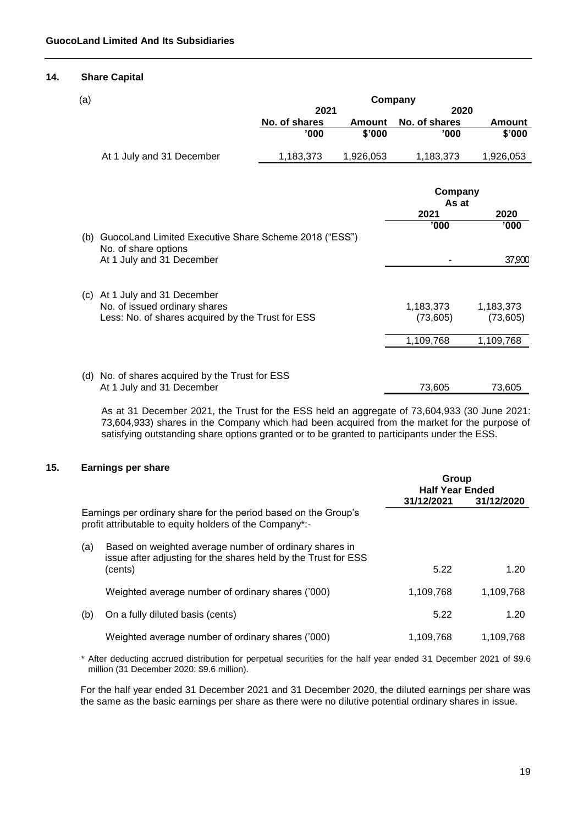#### **14. Share Capital**

| (a) |                                                                               | Company       |               |                  |               |
|-----|-------------------------------------------------------------------------------|---------------|---------------|------------------|---------------|
|     |                                                                               | 2021          |               | 2020             |               |
|     |                                                                               | No. of shares | <b>Amount</b> | No. of shares    | <b>Amount</b> |
|     |                                                                               | '000          | \$'000        | '000'            | \$'000        |
|     | At 1 July and 31 December                                                     | 1,183,373     | 1,926,053     | 1,183,373        | 1,926,053     |
|     |                                                                               |               |               |                  |               |
|     |                                                                               |               |               | Company<br>As at |               |
|     |                                                                               |               |               | 2021             | 2020          |
|     |                                                                               |               |               | '000             | '000          |
| (b) | GuocoLand Limited Executive Share Scheme 2018 ("ESS")<br>No. of share options |               |               |                  |               |
|     | At 1 July and 31 December                                                     |               |               |                  | 37,900        |
|     | (c) At 1 July and 31 December                                                 |               |               |                  |               |
|     | No. of issued ordinary shares                                                 |               |               | 1,183,373        | 1,183,373     |
|     | Less: No. of shares acquired by the Trust for ESS                             |               |               | (73,605)         | (73, 605)     |
|     |                                                                               |               |               | 1,109,768        | 1,109,768     |
|     |                                                                               |               |               |                  |               |
|     | (d) No. of shares acquired by the Trust for ESS                               |               |               |                  |               |
|     | At 1 July and 31 December                                                     |               |               | 73,605           | 73,605        |

As at 31 December 2021, the Trust for the ESS held an aggregate of 73,604,933 (30 June 2021: 73,604,933) shares in the Company which had been acquired from the market for the purpose of satisfying outstanding share options granted or to be granted to participants under the ESS.

### **15. Earnings per share**

|     |                                                                                                                            | Group<br><b>Half Year Ended</b> |            |
|-----|----------------------------------------------------------------------------------------------------------------------------|---------------------------------|------------|
|     |                                                                                                                            | 31/12/2021                      | 31/12/2020 |
|     | Earnings per ordinary share for the period based on the Group's<br>profit attributable to equity holders of the Company*:- |                                 |            |
| (a) | Based on weighted average number of ordinary shares in<br>issue after adjusting for the shares held by the Trust for ESS   |                                 |            |
|     | (cents)                                                                                                                    | 5.22                            | 1.20       |
|     | Weighted average number of ordinary shares ('000)                                                                          | 1,109,768                       | 1,109,768  |
| (b) | On a fully diluted basis (cents)                                                                                           | 5.22                            | 1.20       |
|     | Weighted average number of ordinary shares ('000)                                                                          | 1,109,768                       | 1,109,768  |

\* After deducting accrued distribution for perpetual securities for the half year ended 31 December 2021 of \$9.6 million (31 December 2020: \$9.6 million).

For the half year ended 31 December 2021 and 31 December 2020, the diluted earnings per share was the same as the basic earnings per share as there were no dilutive potential ordinary shares in issue.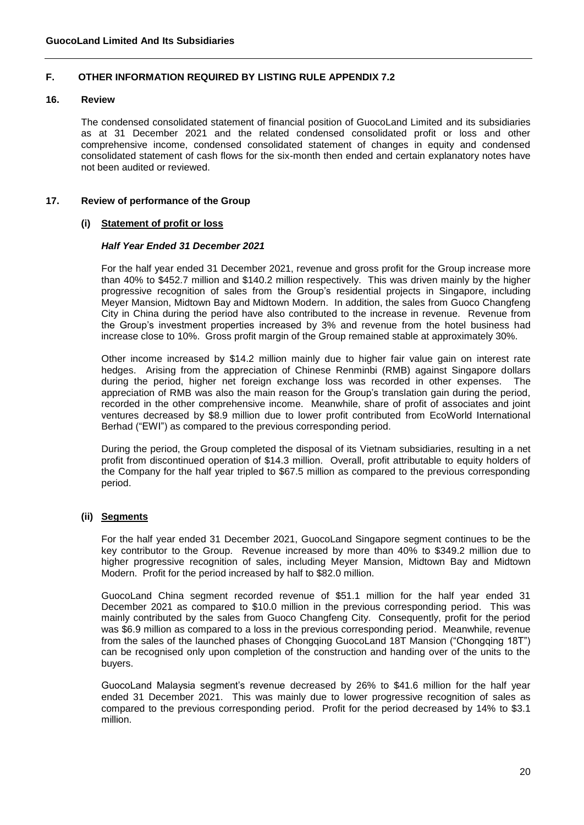# **F. OTHER INFORMATION REQUIRED BY LISTING RULE APPENDIX 7.2**

#### **16. Review**

The condensed consolidated statement of financial position of GuocoLand Limited and its subsidiaries as at 31 December 2021 and the related condensed consolidated profit or loss and other comprehensive income, condensed consolidated statement of changes in equity and condensed consolidated statement of cash flows for the six-month then ended and certain explanatory notes have not been audited or reviewed.

#### **17. Review of performance of the Group**

#### **(i) Statement of profit or loss**

### *Half Year Ended 31 December 2021*

For the half year ended 31 December 2021, revenue and gross profit for the Group increase more than 40% to \$452.7 million and \$140.2 million respectively. This was driven mainly by the higher progressive recognition of sales from the Group's residential projects in Singapore, including Meyer Mansion, Midtown Bay and Midtown Modern. In addition, the sales from Guoco Changfeng City in China during the period have also contributed to the increase in revenue. Revenue from the Group's investment properties increased by 3% and revenue from the hotel business had increase close to 10%. Gross profit margin of the Group remained stable at approximately 30%.

Other income increased by \$14.2 million mainly due to higher fair value gain on interest rate hedges. Arising from the appreciation of Chinese Renminbi (RMB) against Singapore dollars during the period, higher net foreign exchange loss was recorded in other expenses. The appreciation of RMB was also the main reason for the Group's translation gain during the period, recorded in the other comprehensive income. Meanwhile, share of profit of associates and joint ventures decreased by \$8.9 million due to lower profit contributed from EcoWorld International Berhad ("EWI") as compared to the previous corresponding period.

During the period, the Group completed the disposal of its Vietnam subsidiaries, resulting in a net profit from discontinued operation of \$14.3 million. Overall, profit attributable to equity holders of the Company for the half year tripled to \$67.5 million as compared to the previous corresponding period.

#### **(ii) Segments**

For the half year ended 31 December 2021, GuocoLand Singapore segment continues to be the key contributor to the Group. Revenue increased by more than 40% to \$349.2 million due to higher progressive recognition of sales, including Meyer Mansion, Midtown Bay and Midtown Modern. Profit for the period increased by half to \$82.0 million.

GuocoLand China segment recorded revenue of \$51.1 million for the half year ended 31 December 2021 as compared to \$10.0 million in the previous corresponding period. This was mainly contributed by the sales from Guoco Changfeng City. Consequently, profit for the period was \$6.9 million as compared to a loss in the previous corresponding period. Meanwhile, revenue from the sales of the launched phases of Chongqing GuocoLand 18T Mansion ("Chongqing 18T") can be recognised only upon completion of the construction and handing over of the units to the buyers.

GuocoLand Malaysia segment's revenue decreased by 26% to \$41.6 million for the half year ended 31 December 2021. This was mainly due to lower progressive recognition of sales as compared to the previous corresponding period. Profit for the period decreased by 14% to \$3.1 million.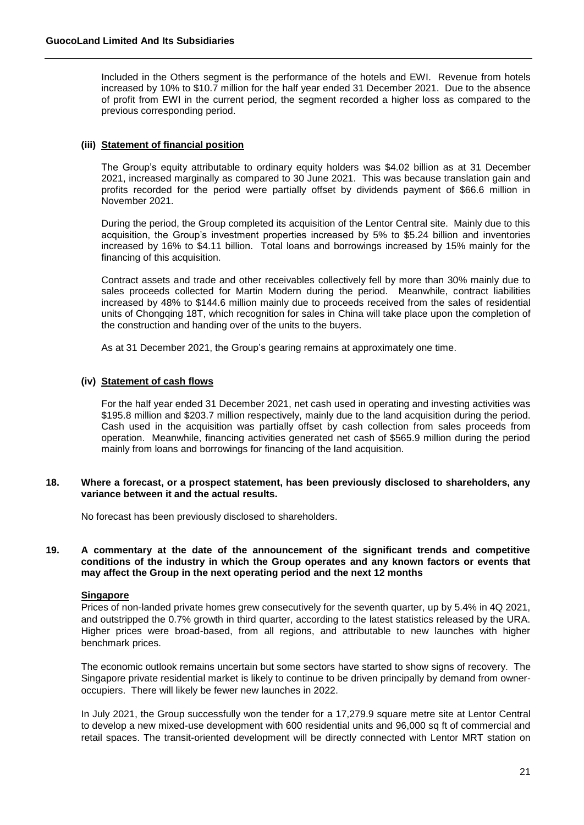Included in the Others segment is the performance of the hotels and EWI. Revenue from hotels increased by 10% to \$10.7 million for the half year ended 31 December 2021. Due to the absence of profit from EWI in the current period, the segment recorded a higher loss as compared to the previous corresponding period.

### **(iii) Statement of financial position**

The Group's equity attributable to ordinary equity holders was \$4.02 billion as at 31 December 2021, increased marginally as compared to 30 June 2021. This was because translation gain and profits recorded for the period were partially offset by dividends payment of \$66.6 million in November 2021.

During the period, the Group completed its acquisition of the Lentor Central site. Mainly due to this acquisition, the Group's investment properties increased by 5% to \$5.24 billion and inventories increased by 16% to \$4.11 billion. Total loans and borrowings increased by 15% mainly for the financing of this acquisition.

Contract assets and trade and other receivables collectively fell by more than 30% mainly due to sales proceeds collected for Martin Modern during the period. Meanwhile, contract liabilities increased by 48% to \$144.6 million mainly due to proceeds received from the sales of residential units of Chongqing 18T, which recognition for sales in China will take place upon the completion of the construction and handing over of the units to the buyers.

As at 31 December 2021, the Group's gearing remains at approximately one time.

### **(iv) Statement of cash flows**

For the half year ended 31 December 2021, net cash used in operating and investing activities was \$195.8 million and \$203.7 million respectively, mainly due to the land acquisition during the period. Cash used in the acquisition was partially offset by cash collection from sales proceeds from operation. Meanwhile, financing activities generated net cash of \$565.9 million during the period mainly from loans and borrowings for financing of the land acquisition.

#### **18. Where a forecast, or a prospect statement, has been previously disclosed to shareholders, any variance between it and the actual results.**

No forecast has been previously disclosed to shareholders.

#### **19. A commentary at the date of the announcement of the significant trends and competitive conditions of the industry in which the Group operates and any known factors or events that may affect the Group in the next operating period and the next 12 months**

#### **Singapore**

Prices of non-landed private homes grew consecutively for the seventh quarter, up by 5.4% in 4Q 2021, and outstripped the 0.7% growth in third quarter, according to the latest statistics released by the URA. Higher prices were broad-based, from all regions, and attributable to new launches with higher benchmark prices.

The economic outlook remains uncertain but some sectors have started to show signs of recovery. The Singapore private residential market is likely to continue to be driven principally by demand from owneroccupiers. There will likely be fewer new launches in 2022.

In July 2021, the Group successfully won the tender for a 17,279.9 square metre site at Lentor Central to develop a new mixed-use development with 600 residential units and 96,000 sq ft of commercial and retail spaces. The transit-oriented development will be directly connected with Lentor MRT station on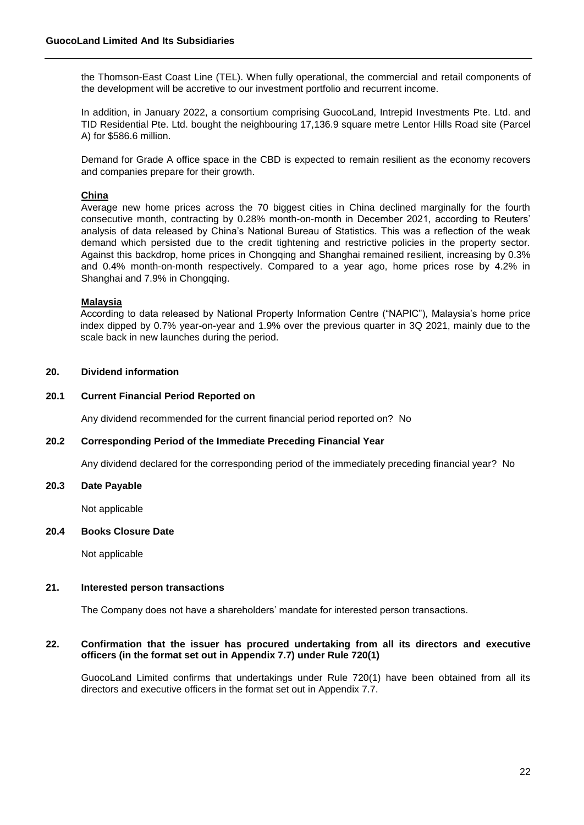the Thomson-East Coast Line (TEL). When fully operational, the commercial and retail components of the development will be accretive to our investment portfolio and recurrent income.

In addition, in January 2022, a consortium comprising GuocoLand, Intrepid Investments Pte. Ltd. and TID Residential Pte. Ltd. bought the neighbouring 17,136.9 square metre Lentor Hills Road site (Parcel A) for \$586.6 million.

Demand for Grade A office space in the CBD is expected to remain resilient as the economy recovers and companies prepare for their growth.

### **China**

Average new home prices across the 70 biggest cities in China declined marginally for the fourth consecutive month, contracting by 0.28% month-on-month in December 2021, according to Reuters' analysis of data released by China's National Bureau of Statistics. This was a reflection of the weak demand which persisted due to the credit tightening and restrictive policies in the property sector. Against this backdrop, home prices in Chongqing and Shanghai remained resilient, increasing by 0.3% and 0.4% month-on-month respectively. Compared to a year ago, home prices rose by 4.2% in Shanghai and 7.9% in Chongqing.

#### **Malaysia**

According to data released by National Property Information Centre ("NAPIC"), Malaysia's home price index dipped by 0.7% year-on-year and 1.9% over the previous quarter in 3Q 2021, mainly due to the scale back in new launches during the period.

# **20. Dividend information**

#### **20.1 Current Financial Period Reported on**

Any dividend recommended for the current financial period reported on? No

#### **20.2 Corresponding Period of the Immediate Preceding Financial Year**

Any dividend declared for the corresponding period of the immediately preceding financial year? No

#### **20.3 Date Payable**

Not applicable

#### **20.4 Books Closure Date**

Not applicable

### **21. Interested person transactions**

The Company does not have a shareholders' mandate for interested person transactions.

### **22. Confirmation that the issuer has procured undertaking from all its directors and executive officers (in the format set out in Appendix 7.7) under Rule 720(1)**

GuocoLand Limited confirms that undertakings under Rule 720(1) have been obtained from all its directors and executive officers in the format set out in Appendix 7.7.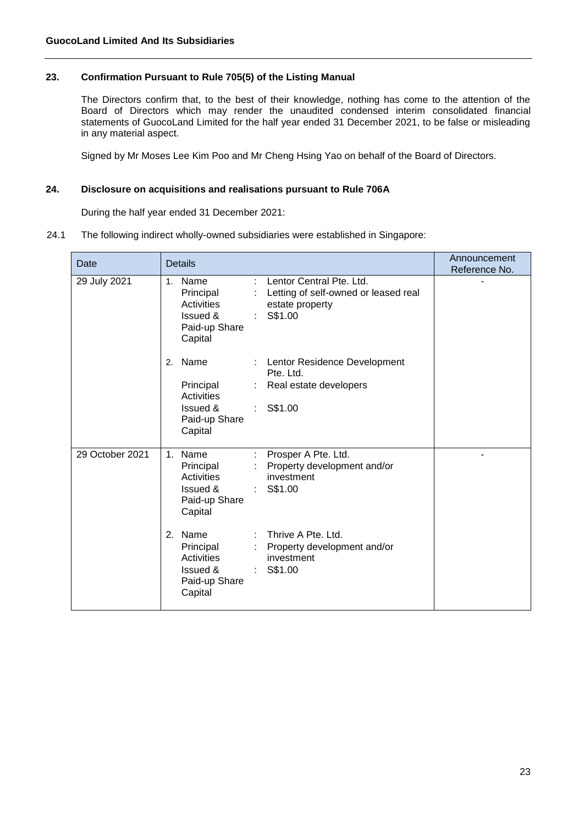# **23. Confirmation Pursuant to Rule 705(5) of the Listing Manual**

The Directors confirm that, to the best of their knowledge, nothing has come to the attention of the Board of Directors which may render the unaudited condensed interim consolidated financial statements of GuocoLand Limited for the half year ended 31 December 2021, to be false or misleading in any material aspect.

Signed by Mr Moses Lee Kim Poo and Mr Cheng Hsing Yao on behalf of the Board of Directors.

# **24. Disclosure on acquisitions and realisations pursuant to Rule 706A**

During the half year ended 31 December 2021:

#### 24.1 The following indirect wholly-owned subsidiaries were established in Singapore:

| Date            | <b>Details</b>                                                                                                                                                                                                             | Announcement<br>Reference No. |
|-----------------|----------------------------------------------------------------------------------------------------------------------------------------------------------------------------------------------------------------------------|-------------------------------|
| 29 July 2021    | Lentor Central Pte. Ltd.<br>Name<br>$\mathcal{L}_{\mathcal{A}}$<br>1 <sup>1</sup><br>Principal<br>Letting of self-owned or leased real<br>Activities<br>estate property<br>S\$1.00<br>Issued &<br>Paid-up Share<br>Capital |                               |
|                 | Name<br>: Lentor Residence Development<br>2.<br>Pte. Ltd.<br>Principal<br>Real estate developers<br><b>Activities</b><br>Issued &<br>$:$ S\$1.00<br>Paid-up Share<br>Capital                                               |                               |
| 29 October 2021 | Prosper A Pte. Ltd.<br>Name<br>1 <sup>1</sup><br>÷<br>: Property development and/or<br>Principal<br>investment<br>Activities<br>Issued &<br>$:$ S\$1.00<br>Paid-up Share<br>Capital                                        |                               |
|                 | 2. Name<br>Thrive A Pte. Ltd.<br>÷<br>: Property development and/or<br>Principal<br>Activities<br>investment<br>Issued &<br>$:$ S\$1.00<br>Paid-up Share<br>Capital                                                        |                               |